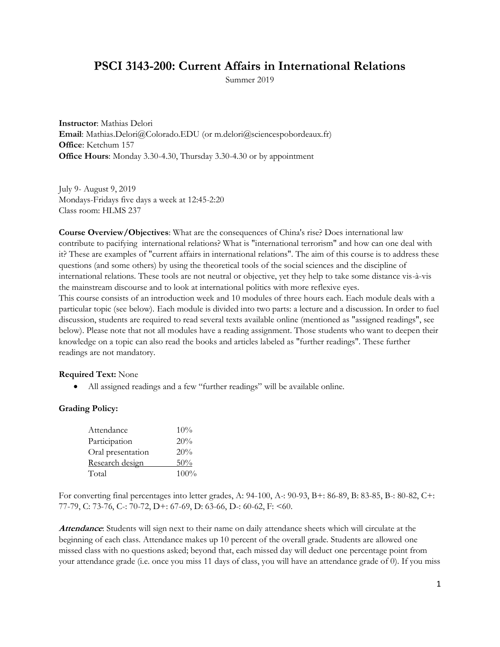# **PSCI 3143-200: Current Affairs in International Relations**

Summer 2019

**Instructor**: Mathias Delori **Email**: Mathias.Delori@Colorado.EDU (or m.delori@sciencespobordeaux.fr) **Office**: Ketchum 157 **Office Hours**: Monday 3.30-4.30, Thursday 3.30-4.30 or by appointment

July 9- August 9, 2019 Mondays-Fridays five days a week at 12:45-2:20 Class room: HLMS 237

**Course Overview/Objectives**: What are the consequences of China's rise? Does international law contribute to pacifying international relations? What is "international terrorism" and how can one deal with it? These are examples of "current affairs in international relations". The aim of this course is to address these questions (and some others) by using the theoretical tools of the social sciences and the discipline of international relations. These tools are not neutral or objective, yet they help to take some distance vis-à-vis the mainstream discourse and to look at international politics with more reflexive eyes. This course consists of an introduction week and 10 modules of three hours each. Each module deals with a particular topic (see below). Each module is divided into two parts: a lecture and a discussion. In order to fuel discussion, students are required to read several texts available online (mentioned as "assigned readings", see below). Please note that not all modules have a reading assignment. Those students who want to deepen their knowledge on a topic can also read the books and articles labeled as "further readings". These further readings are not mandatory.

### **Required Text:** None

• All assigned readings and a few "further readings" will be available online.

# **Grading Policy:**

| Attendance        | 10%     |
|-------------------|---------|
| Participation     | 20%     |
| Oral presentation | 20%     |
| Research design   | 50%     |
| Total             | $100\%$ |

For converting final percentages into letter grades, A: 94-100, A-: 90-93, B+: 86-89, B: 83-85, B-: 80-82, C+: 77-79, C: 73-76, C-: 70-72, D+: 67-69, D: 63-66, D-: 60-62, F: <60.

**Attendance**: Students will sign next to their name on daily attendance sheets which will circulate at the beginning of each class. Attendance makes up 10 percent of the overall grade. Students are allowed one missed class with no questions asked; beyond that, each missed day will deduct one percentage point from your attendance grade (i.e. once you miss 11 days of class, you will have an attendance grade of 0). If you miss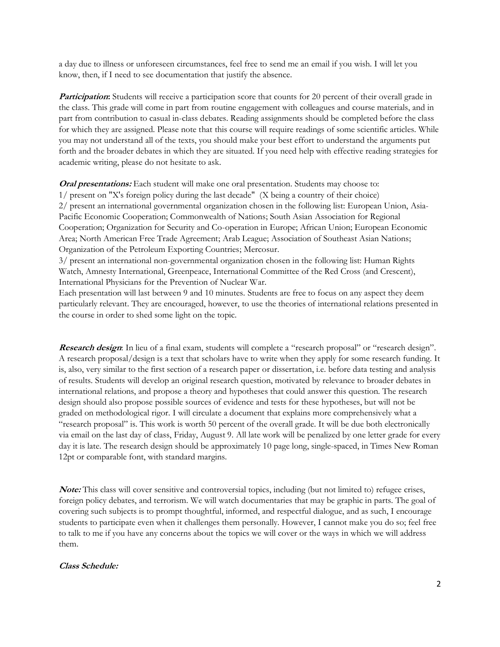a day due to illness or unforeseen circumstances, feel free to send me an email if you wish. I will let you know, then, if I need to see documentation that justify the absence.

**Participation:** Students will receive a participation score that counts for 20 percent of their overall grade in the class. This grade will come in part from routine engagement with colleagues and course materials, and in part from contribution to casual in-class debates. Reading assignments should be completed before the class for which they are assigned. Please note that this course will require readings of some scientific articles. While you may not understand all of the texts, you should make your best effort to understand the arguments put forth and the broader debates in which they are situated. If you need help with effective reading strategies for academic writing, please do not hesitate to ask.

**Oral presentations:** Each student will make one oral presentation. Students may choose to: 1/ present on "X's foreign policy during the last decade" (X being a country of their choice) 2/ present an international governmental organization chosen in the following list: European Union, Asia-Pacific Economic Cooperation; Commonwealth of Nations; South Asian Association for Regional Cooperation; Organization for Security and Co-operation in Europe; African Union; European Economic Area; North American Free Trade Agreement; Arab League; Association of Southeast Asian Nations; Organization of the Petroleum Exporting Countries; Mercosur.

3/ present an international non-governmental organization chosen in the following list: Human Rights Watch, Amnesty International, Greenpeace, International Committee of the Red Cross (and Crescent), International Physicians for the Prevention of Nuclear War.

Each presentation will last between 9 and 10 minutes. Students are free to focus on any aspect they deem particularly relevant. They are encouraged, however, to use the theories of international relations presented in the course in order to shed some light on the topic.

**Research design:** In lieu of a final exam, students will complete a "research proposal" or "research design". A research proposal/design is a text that scholars have to write when they apply for some research funding. It is, also, very similar to the first section of a research paper or dissertation, i.e. before data testing and analysis of results. Students will develop an original research question, motivated by relevance to broader debates in international relations, and propose a theory and hypotheses that could answer this question. The research design should also propose possible sources of evidence and tests for these hypotheses, but will not be graded on methodological rigor. I will circulate a document that explains more comprehensively what a "research proposal" is. This work is worth 50 percent of the overall grade. It will be due both electronically via email on the last day of class, Friday, August 9. All late work will be penalized by one letter grade for every day it is late. The research design should be approximately 10 page long, single-spaced, in Times New Roman 12pt or comparable font, with standard margins.

**Note:** This class will cover sensitive and controversial topics, including (but not limited to) refugee crises, foreign policy debates, and terrorism. We will watch documentaries that may be graphic in parts. The goal of covering such subjects is to prompt thoughtful, informed, and respectful dialogue, and as such, I encourage students to participate even when it challenges them personally. However, I cannot make you do so; feel free to talk to me if you have any concerns about the topics we will cover or the ways in which we will address them.

### **Class Schedule:**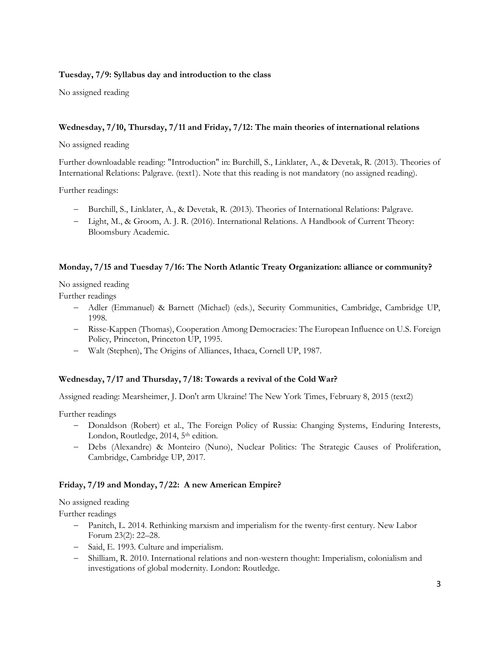# **Tuesday, 7/9: Syllabus day and introduction to the class**

No assigned reading

# **Wednesday, 7/10, Thursday, 7/11 and Friday, 7/12: The main theories of international relations**

No assigned reading

Further downloadable reading: "Introduction" in: Burchill, S., Linklater, A., & Devetak, R. (2013). Theories of International Relations: Palgrave. (text1). Note that this reading is not mandatory (no assigned reading).

Further readings:

- − Burchill, S., Linklater, A., & Devetak, R. (2013). Theories of International Relations: Palgrave.
- − Light, M., & Groom, A. J. R. (2016). International Relations. A Handbook of Current Theory: Bloomsbury Academic.

# **Monday, 7/15 and Tuesday 7/16: The North Atlantic Treaty Organization: alliance or community?**

No assigned reading

Further readings

- − Adler (Emmanuel) & Barnett (Michael) (eds.), Security Communities, Cambridge, Cambridge UP, 1998.
- − Risse-Kappen (Thomas), Cooperation Among Democracies: The European Influence on U.S. Foreign Policy, Princeton, Princeton UP, 1995.
- − Walt (Stephen), The Origins of Alliances, Ithaca, Cornell UP, 1987.

# **Wednesday, 7/17 and Thursday, 7/18: Towards a revival of the Cold War?**

Assigned reading: Mearsheimer, J. Don't arm Ukraine! The New York Times, February 8, 2015 (text2)

Further readings

- − Donaldson (Robert) et al., The Foreign Policy of Russia: Changing Systems, Enduring Interests, London, Routledge, 2014, 5<sup>th</sup> edition.
- − Debs (Alexandre) & Monteiro (Nuno), Nuclear Politics: The Strategic Causes of Proliferation, Cambridge, Cambridge UP, 2017.

# **Friday, 7/19 and Monday, 7/22: A new American Empire?**

No assigned reading

Further readings

- − Panitch, L. 2014. Rethinking marxism and imperialism for the twenty-first century. New Labor Forum 23(2): 22–28.
- − Said, E. 1993. Culture and imperialism.
- − Shilliam, R. 2010. International relations and non-western thought: Imperialism, colonialism and investigations of global modernity. London: Routledge.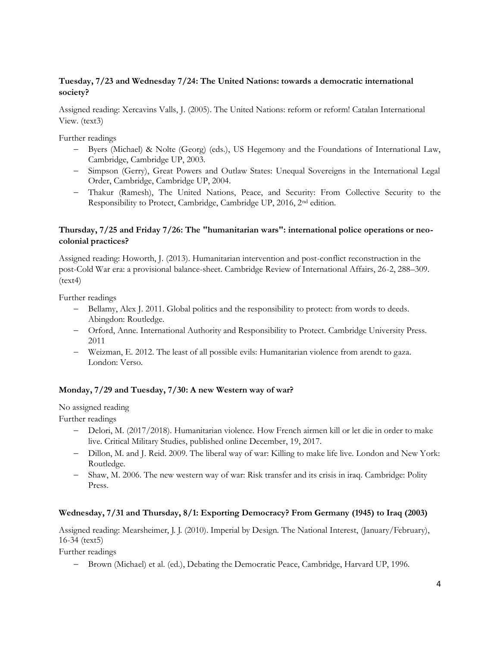# **Tuesday, 7/23 and Wednesday 7/24: The United Nations: towards a democratic international society?**

Assigned reading: Xercavins Valls, J. (2005). The United Nations: reform or reform! Catalan International View. (text3)

Further readings

- − Byers (Michael) & Nolte (Georg) (eds.), US Hegemony and the Foundations of International Law, Cambridge, Cambridge UP, 2003.
- − Simpson (Gerry), Great Powers and Outlaw States: Unequal Sovereigns in the International Legal Order, Cambridge, Cambridge UP, 2004.
- − Thakur (Ramesh), The United Nations, Peace, and Security: From Collective Security to the Responsibility to Protect, Cambridge, Cambridge UP, 2016, 2nd edition.

# **Thursday, 7/25 and Friday 7/26: The "humanitarian wars": international police operations or neocolonial practices?**

Assigned reading: Howorth, J. (2013). Humanitarian intervention and post-conflict reconstruction in the post-Cold War era: a provisional balance-sheet. Cambridge Review of International Affairs, 26-2, 288–309.  $(text4)$ 

Further readings

- − Bellamy, Alex J. 2011. Global politics and the responsibility to protect: from words to deeds. Abingdon: Routledge.
- − Orford, Anne. International Authority and Responsibility to Protect. Cambridge University Press. 2011
- − Weizman, E. 2012. The least of all possible evils: Humanitarian violence from arendt to gaza. London: Verso.

# **Monday, 7/29 and Tuesday, 7/30: A new Western way of war?**

No assigned reading

Further readings

- − Delori, M. (2017/2018). Humanitarian violence. How French airmen kill or let die in order to make live. Critical Military Studies, published online December, 19, 2017.
- − Dillon, M. and J. Reid. 2009. The liberal way of war: Killing to make life live. London and New York: Routledge.
- Shaw, M. 2006. The new western way of war: Risk transfer and its crisis in iraq. Cambridge: Polity Press.

# **Wednesday, 7/31 and Thursday, 8/1: Exporting Democracy? From Germany (1945) to Iraq (2003)**

Assigned reading: Mearsheimer, J. J. (2010). Imperial by Design. The National Interest, (January/February), 16-34 (text5)

Further readings

− Brown (Michael) et al. (ed.), Debating the Democratic Peace, Cambridge, Harvard UP, 1996.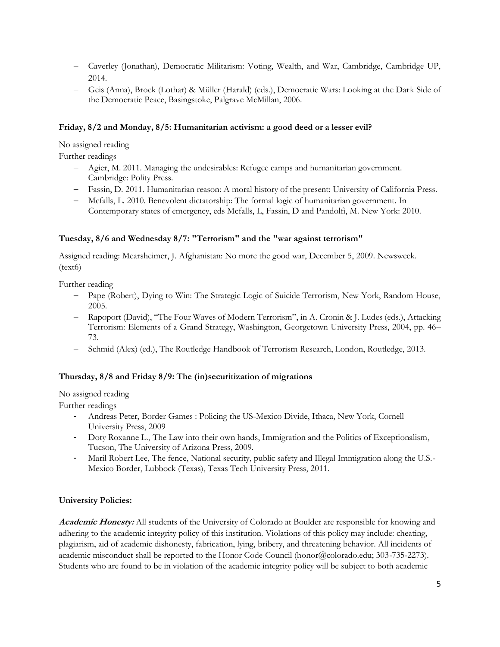- − Caverley (Jonathan), Democratic Militarism: Voting, Wealth, and War, Cambridge, Cambridge UP, 2014.
- − Geis (Anna), Brock (Lothar) & Müller (Harald) (eds.), Democratic Wars: Looking at the Dark Side of the Democratic Peace, Basingstoke, Palgrave McMillan, 2006.

### **Friday, 8/2 and Monday, 8/5: Humanitarian activism: a good deed or a lesser evil?**

No assigned reading

Further readings

- − Agier, M. 2011. Managing the undesirables: Refugee camps and humanitarian government. Cambridge: Polity Press.
- − Fassin, D. 2011. Humanitarian reason: A moral history of the present: University of California Press.
- − Mcfalls, L. 2010. Benevolent dictatorship: The formal logic of humanitarian government. In Contemporary states of emergency, eds Mcfalls, L, Fassin, D and Pandolfi, M. New York: 2010.

### **Tuesday, 8/6 and Wednesday 8/7: "Terrorism" and the "war against terrorism"**

Assigned reading: Mearsheimer, J. Afghanistan: No more the good war, December 5, 2009. Newsweek. (text6)

Further reading

- − Pape (Robert), Dying to Win: The Strategic Logic of Suicide Terrorism, New York, Random House, 2005.
- − Rapoport (David), "The Four Waves of Modern Terrorism", in A. Cronin & J. Ludes (eds.), Attacking Terrorism: Elements of a Grand Strategy, Washington, Georgetown University Press, 2004, pp. 46– 73.
- − Schmid (Alex) (ed.), The Routledge Handbook of Terrorism Research, London, Routledge, 2013.

### **Thursday, 8/8 and Friday 8/9: The (in)securitization of migrations**

No assigned reading

Further readings

- Andreas Peter, Border Games : Policing the US-Mexico Divide, Ithaca, New York, Cornell University Press, 2009
- Doty Roxanne L., The Law into their own hands, Immigration and the Politics of Exceptionalism, Tucson, The University of Arizona Press, 2009.
- Maril Robert Lee, The fence, National security, public safety and Illegal Immigration along the U.S.- Mexico Border, Lubbock (Texas), Texas Tech University Press, 2011.

### **University Policies:**

**Academic Honesty:** All students of the University of Colorado at Boulder are responsible for knowing and adhering to the academic integrity policy of this institution. Violations of this policy may include: cheating, plagiarism, aid of academic dishonesty, fabrication, lying, bribery, and threatening behavior. All incidents of academic misconduct shall be reported to the Honor Code Council (honor@colorado.edu; 303-735-2273). Students who are found to be in violation of the academic integrity policy will be subject to both academic